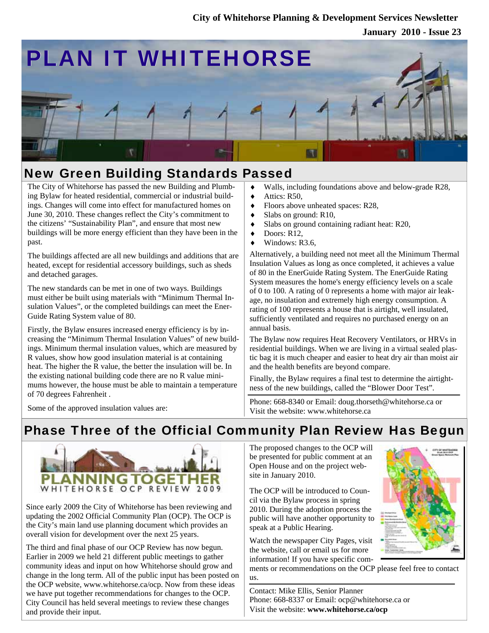### **City of Whitehorse Planning & Development Services Newsletter**

**January 2010 - Issue 23**



# New Green Building Standards Passed

The City of Whitehorse has passed the new Building and Plumbing Bylaw for heated residential, commercial or industrial buildings. Changes will come into effect for manufactured homes on June 30, 2010. These changes reflect the City's commitment to the citizens' "Sustainability Plan", and ensure that most new buildings will be more energy efficient than they have been in the past.

The buildings affected are all new buildings and additions that are heated, except for residential accessory buildings, such as sheds and detached garages.

The new standards can be met in one of two ways. Buildings must either be built using materials with "Minimum Thermal Insulation Values", or the completed buildings can meet the Ener-Guide Rating System value of 80.

Firstly, the Bylaw ensures increased energy efficiency is by increasing the "Minimum Thermal Insulation Values" of new buildings. Minimum thermal insulation values, which are measured by R values, show how good insulation material is at containing heat. The higher the R value, the better the insulation will be. In the existing national building code there are no R value minimums however, the house must be able to maintain a temperature of 70 degrees Fahrenheit .

Some of the approved insulation values are:

- ♦ Walls, including foundations above and below-grade R28,
- $\blacklozenge$  Attics: R50.
- ♦ Floors above unheated spaces: R28,
- $\blacklozenge$  Slabs on ground: R10,
- ♦ Slabs on ground containing radiant heat: R20,
- ♦ Doors: R12,
- Windows: R3.6.

Alternatively, a building need not meet all the Minimum Thermal Insulation Values as long as once completed, it achieves a value of 80 in the EnerGuide Rating System. The EnerGuide Rating System measures the home's energy efficiency levels on a scale of 0 to 100. A rating of 0 represents a home with major air leakage, no insulation and extremely high energy consumption. A rating of 100 represents a house that is airtight, well insulated, sufficiently ventilated and requires no purchased energy on an annual basis.

The Bylaw now requires Heat Recovery Ventilators, or HRVs in residential buildings. When we are living in a virtual sealed plastic bag it is much cheaper and easier to heat dry air than moist air and the health benefits are beyond compare.

Finally, the Bylaw requires a final test to determine the airtightness of the new buildings, called the "Blower Door Test".

Phone: 668-8340 or Email: doug.thorseth@whitehorse.ca or Visit the website: www.whitehorse.ca

## Phase Three of the Official Community Plan Review Has Begun



Since early 2009 the City of Whitehorse has been reviewing and updating the 2002 Official Community Plan (OCP). The OCP is the City's main land use planning document which provides an overall vision for development over the next 25 years.

The third and final phase of our OCP Review has now begun. Earlier in 2009 we held 21 different public meetings to gather community ideas and input on how Whitehorse should grow and change in the long term. All of the public input has been posted on the OCP website, www.whitehorse.ca/ocp. Now from these ideas we have put together recommendations for changes to the OCP. City Council has held several meetings to review these changes and provide their input.

The proposed changes to the OCP will be presented for public comment at an Open House and on the project website in January 2010.

The OCP will be introduced to Council via the Bylaw process in spring 2010. During the adoption process the public will have another opportunity to speak at a Public Hearing.

Watch the newspaper City Pages, visit the website, call or email us for more information! If you have specific com-

ments or recommendations on the OCP please feel free to contact us.

Contact: Mike Ellis, Senior Planner Phone: 668-8337 or Email: ocp@whitehorse.ca or Visit the website: **www.whitehorse.ca/ocp**